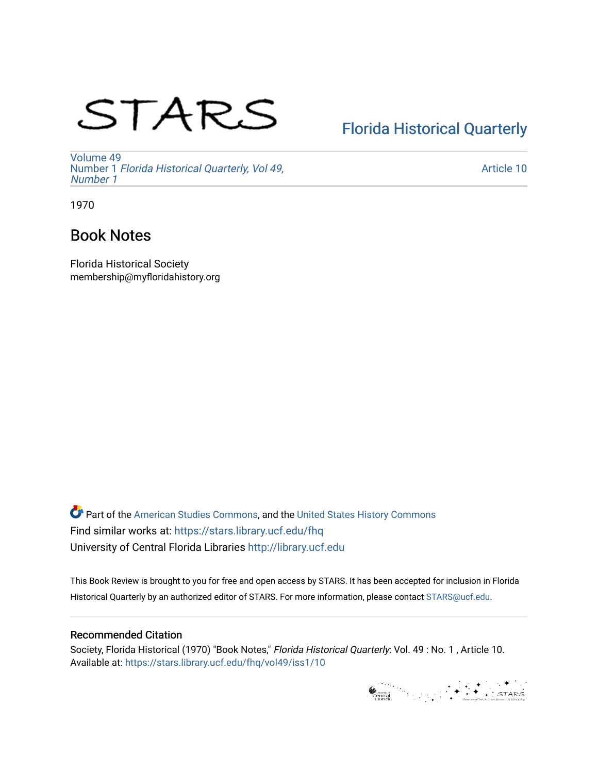# STARS

# [Florida Historical Quarterly](https://stars.library.ucf.edu/fhq)

[Volume 49](https://stars.library.ucf.edu/fhq/vol49) Number 1 [Florida Historical Quarterly, Vol 49,](https://stars.library.ucf.edu/fhq/vol49/iss1)  [Number 1](https://stars.library.ucf.edu/fhq/vol49/iss1)

[Article 10](https://stars.library.ucf.edu/fhq/vol49/iss1/10) 

1970

# Book Notes

Florida Historical Society membership@myfloridahistory.org

**C** Part of the [American Studies Commons](http://network.bepress.com/hgg/discipline/439?utm_source=stars.library.ucf.edu%2Ffhq%2Fvol49%2Fiss1%2F10&utm_medium=PDF&utm_campaign=PDFCoverPages), and the United States History Commons Find similar works at: <https://stars.library.ucf.edu/fhq> University of Central Florida Libraries [http://library.ucf.edu](http://library.ucf.edu/) 

This Book Review is brought to you for free and open access by STARS. It has been accepted for inclusion in Florida Historical Quarterly by an authorized editor of STARS. For more information, please contact [STARS@ucf.edu.](mailto:STARS@ucf.edu)

## Recommended Citation

Society, Florida Historical (1970) "Book Notes," Florida Historical Quarterly: Vol. 49 : No. 1 , Article 10. Available at: [https://stars.library.ucf.edu/fhq/vol49/iss1/10](https://stars.library.ucf.edu/fhq/vol49/iss1/10?utm_source=stars.library.ucf.edu%2Ffhq%2Fvol49%2Fiss1%2F10&utm_medium=PDF&utm_campaign=PDFCoverPages)

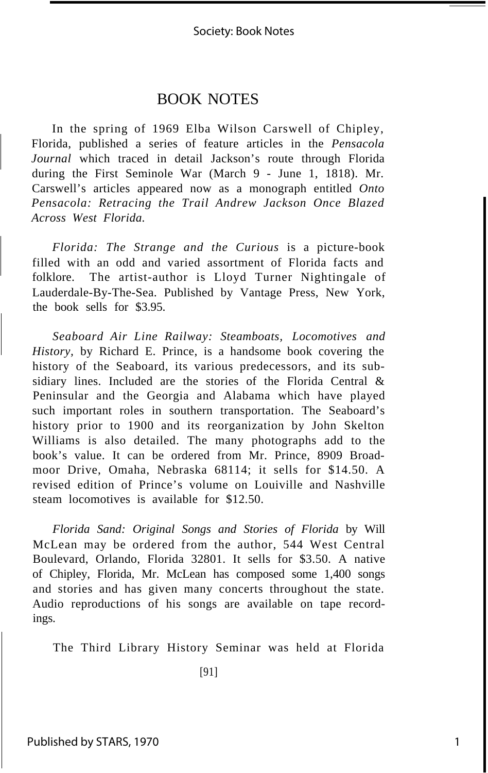## BOOK NOTES

In the spring of 1969 Elba Wilson Carswell of Chipley, Florida, published a series of feature articles in the *Pensacola Journal* which traced in detail Jackson's route through Florida during the First Seminole War (March 9 - June 1, 1818). Mr. Carswell's articles appeared now as a monograph entitled *Onto Pensacola: Retracing the Trail Andrew Jackson Once Blazed Across West Florida.*

*Florida: The Strange and the Curious* is a picture-book filled with an odd and varied assortment of Florida facts and folklore. The artist-author is Lloyd Turner Nightingale of Lauderdale-By-The-Sea. Published by Vantage Press, New York, the book sells for \$3.95.

*Seaboard Air Line Railway: Steamboats, Locomotives and History,* by Richard E. Prince, is a handsome book covering the history of the Seaboard, its various predecessors, and its subsidiary lines. Included are the stories of the Florida Central & Peninsular and the Georgia and Alabama which have played such important roles in southern transportation. The Seaboard's history prior to 1900 and its reorganization by John Skelton Williams is also detailed. The many photographs add to the book's value. It can be ordered from Mr. Prince, 8909 Broadmoor Drive, Omaha, Nebraska 68114; it sells for \$14.50. A revised edition of Prince's volume on Louiville and Nashville steam locomotives is available for \$12.50.

*Florida Sand: Original Songs and Stories of Florida* by Will McLean may be ordered from the author, 544 West Central Boulevard, Orlando, Florida 32801. It sells for \$3.50. A native of Chipley, Florida, Mr. McLean has composed some 1,400 songs and stories and has given many concerts throughout the state. Audio reproductions of his songs are available on tape recordings.

The Third Library History Seminar was held at Florida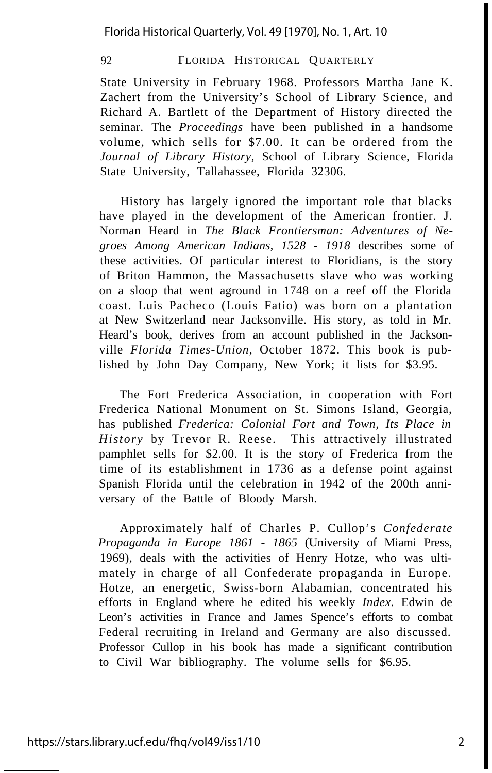### 92 FLORIDA HISTORICAL QUARTERLY

State University in February 1968. Professors Martha Jane K. Zachert from the University's School of Library Science, and Richard A. Bartlett of the Department of History directed the seminar. The *Proceedings* have been published in a handsome volume, which sells for \$7.00. It can be ordered from the *Journal of Library History,* School of Library Science, Florida State University, Tallahassee, Florida 32306.

History has largely ignored the important role that blacks have played in the development of the American frontier. J. Norman Heard in *The Black Frontiersman: Adventures of Negroes Among American Indians, 1528* - *1918* describes some of these activities. Of particular interest to Floridians, is the story of Briton Hammon, the Massachusetts slave who was working on a sloop that went aground in 1748 on a reef off the Florida coast. Luis Pacheco (Louis Fatio) was born on a plantation at New Switzerland near Jacksonville. His story, as told in Mr. Heard's book, derives from an account published in the Jacksonville *Florida Times-Union,* October 1872. This book is published by John Day Company, New York; it lists for \$3.95.

The Fort Frederica Association, in cooperation with Fort Frederica National Monument on St. Simons Island, Georgia, has published *Frederica: Colonial Fort and Town, Its Place in History* by Trevor R. Reese. This attractively illustrated pamphlet sells for \$2.00. It is the story of Frederica from the time of its establishment in 1736 as a defense point against Spanish Florida until the celebration in 1942 of the 200th anniversary of the Battle of Bloody Marsh.

Approximately half of Charles P. Cullop's *Confederate Propaganda in Europe 1861* - *1865* (University of Miami Press, 1969), deals with the activities of Henry Hotze, who was ultimately in charge of all Confederate propaganda in Europe. Hotze, an energetic, Swiss-born Alabamian, concentrated his efforts in England where he edited his weekly *Index.* Edwin de Leon's activities in France and James Spence's efforts to combat Federal recruiting in Ireland and Germany are also discussed. Professor Cullop in his book has made a significant contribution to Civil War bibliography. The volume sells for \$6.95.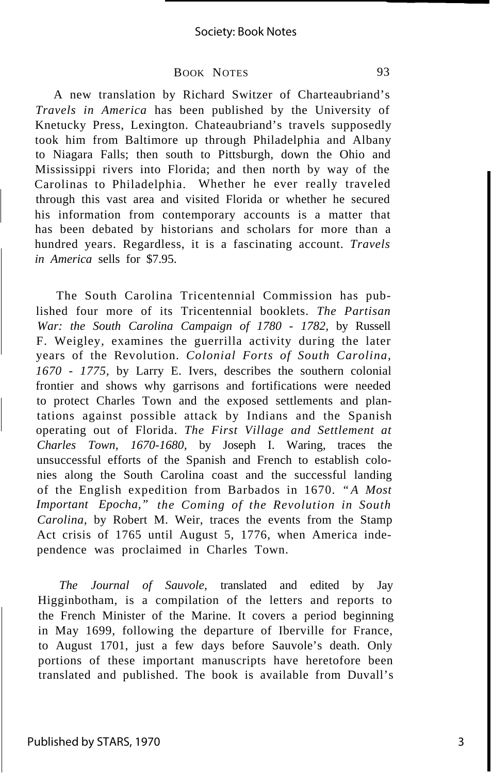#### BOOK NOTES 93

A new translation by Richard Switzer of Charteaubriand's *Travels in America* has been published by the University of Knetucky Press, Lexington. Chateaubriand's travels supposedly took him from Baltimore up through Philadelphia and Albany to Niagara Falls; then south to Pittsburgh, down the Ohio and Mississippi rivers into Florida; and then north by way of the Carolinas to Philadelphia. Whether he ever really traveled through this vast area and visited Florida or whether he secured his information from contemporary accounts is a matter that has been debated by historians and scholars for more than a hundred years. Regardless, it is a fascinating account. *Travels in America* sells for \$7.95.

The South Carolina Tricentennial Commission has published four more of its Tricentennial booklets. *The Partisan War: the South Carolina Campaign of 1780 - 1782,* by Russell F. Weigley, examines the guerrilla activity during the later years of the Revolution. *Colonial Forts of South Carolina, 1670* - *1775,* by Larry E. Ivers, describes the southern colonial frontier and shows why garrisons and fortifications were needed to protect Charles Town and the exposed settlements and plantations against possible attack by Indians and the Spanish operating out of Florida. *The First Village and Settlement at Charles Town, 1670-1680,* by Joseph I. Waring, traces the unsuccessful efforts of the Spanish and French to establish colonies along the South Carolina coast and the successful landing of the English expedition from Barbados in 1670. *"A Most Important Epocha," the Coming of the Revolution in South Carolina,* by Robert M. Weir, traces the events from the Stamp Act crisis of 1765 until August 5, 1776, when America independence was proclaimed in Charles Town.

*The Journal of Sauvole,* translated and edited by Jay Higginbotham, is a compilation of the letters and reports to the French Minister of the Marine. It covers a period beginning in May 1699, following the departure of Iberville for France, to August 1701, just a few days before Sauvole's death. Only portions of these important manuscripts have heretofore been translated and published. The book is available from Duvall's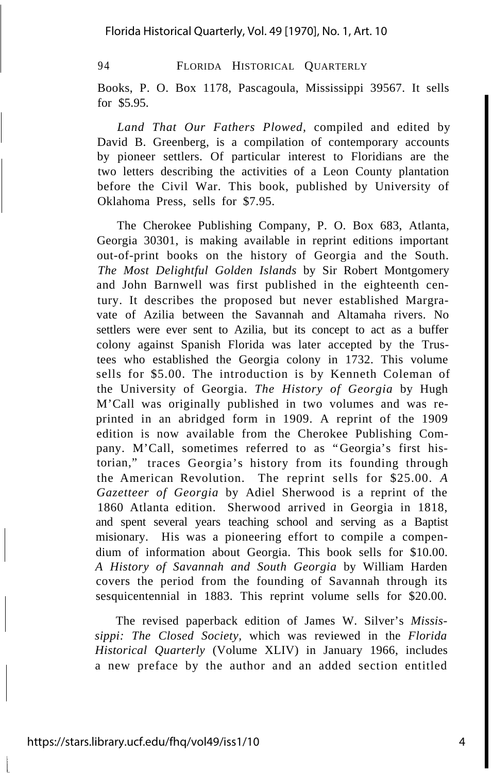#### 94 **FLORIDA HISTORICAL QUARTERLY**

Books, P. O. Box 1178, Pascagoula, Mississippi 39567. It sells for \$5.95.

*Land That Our Fathers Plowed,* compiled and edited by David B. Greenberg, is a compilation of contemporary accounts by pioneer settlers. Of particular interest to Floridians are the two letters describing the activities of a Leon County plantation before the Civil War. This book, published by University of Oklahoma Press, sells for \$7.95.

The Cherokee Publishing Company, P. O. Box 683, Atlanta, Georgia 30301, is making available in reprint editions important out-of-print books on the history of Georgia and the South. *The Most Delightful Golden Islands* by Sir Robert Montgomery and John Barnwell was first published in the eighteenth century. It describes the proposed but never established Margravate of Azilia between the Savannah and Altamaha rivers. No settlers were ever sent to Azilia, but its concept to act as a buffer colony against Spanish Florida was later accepted by the Trustees who established the Georgia colony in 1732. This volume sells for \$5.00. The introduction is by Kenneth Coleman of the University of Georgia. *The History of Georgia* by Hugh M'Call was originally published in two volumes and was reprinted in an abridged form in 1909. A reprint of the 1909 edition is now available from the Cherokee Publishing Company. M'Call, sometimes referred to as "Georgia's first historian," traces Georgia's history from its founding through the American Revolution. The reprint sells for \$25.00. *A Gazetteer of Georgia* by Adiel Sherwood is a reprint of the 1860 Atlanta edition. Sherwood arrived in Georgia in 1818, and spent several years teaching school and serving as a Baptist misionary. His was a pioneering effort to compile a compendium of information about Georgia. This book sells for \$10.00. *A History of Savannah and South Georgia* by William Harden covers the period from the founding of Savannah through its sesquicentennial in 1883. This reprint volume sells for \$20.00.

The revised paperback edition of James W. Silver's *Mississippi: The Closed Society,* which was reviewed in the *Florida Historical Quarterly* (Volume XLIV) in January 1966, includes a new preface by the author and an added section entitled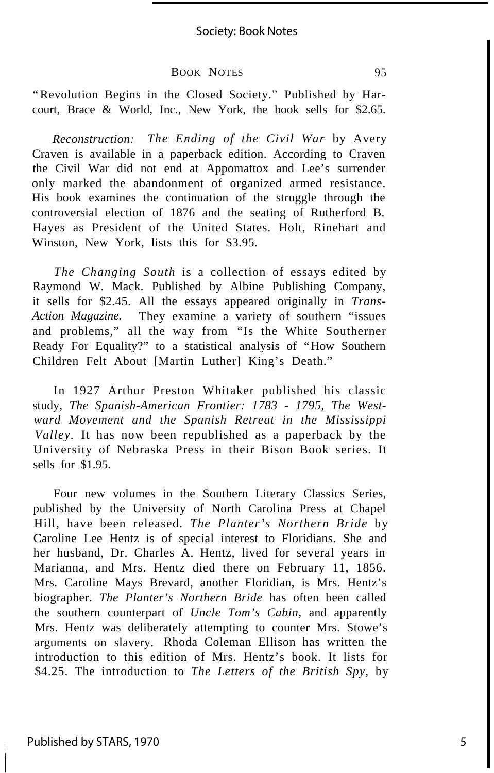#### Society: Book Notes

#### BOOK NOTES 95

"Revolution Begins in the Closed Society." Published by Harcourt, Brace & World, Inc., New York, the book sells for \$2.65.

*Reconstruction: The Ending of the Civil War* by Avery Craven is available in a paperback edition. According to Craven the Civil War did not end at Appomattox and Lee's surrender only marked the abandonment of organized armed resistance. His book examines the continuation of the struggle through the controversial election of 1876 and the seating of Rutherford B. Hayes as President of the United States. Holt, Rinehart and Winston, New York, lists this for \$3.95.

*The Changing South* is a collection of essays edited by Raymond W. Mack. Published by Albine Publishing Company, it sells for \$2.45. All the essays appeared originally in *Trans-Action Magazine.* They examine a variety of southern "issues and problems," all the way from "Is the White Southerner Ready For Equality?" to a statistical analysis of "How Southern Children Felt About [Martin Luther] King's Death."

In 1927 Arthur Preston Whitaker published his classic study, *The Spanish-American Frontier: 1783 - 1795, The Westward Movement and the Spanish Retreat in the Mississippi Valley.* It has now been republished as a paperback by the University of Nebraska Press in their Bison Book series. It sells for \$1.95.

Four new volumes in the Southern Literary Classics Series, published by the University of North Carolina Press at Chapel Hill, have been released. *The Planter's Northern Bride* by Caroline Lee Hentz is of special interest to Floridians. She and her husband, Dr. Charles A. Hentz, lived for several years in Marianna, and Mrs. Hentz died there on February 11, 1856. Mrs. Caroline Mays Brevard, another Floridian, is Mrs. Hentz's biographer. *The Planter's Northern Bride* has often been called the southern counterpart of *Uncle Tom's Cabin,* and apparently Mrs. Hentz was deliberately attempting to counter Mrs. Stowe's arguments on slavery. Rhoda Coleman Ellison has written the introduction to this edition of Mrs. Hentz's book. It lists for \$4.25. The introduction to *The Letters of the British Spy,* by